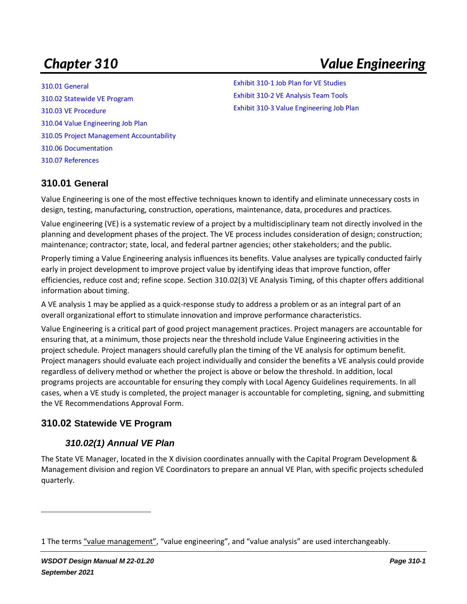# *Chapter 310 Value Engineering*

[310.01 General](#page-0-0) [310.02 Statewide VE Program](#page-0-1) [310.03 VE Procedure](#page-4-0) [310.04 Value Engineering Job Plan](#page-7-0) [310.05 Project Management Accountability](#page-8-0) [310.06 Documentation](#page-8-1) [310.07 References](#page-9-0)

[Exhibit 310-1 Job Plan for VE Studies](#page-6-0) [Exhibit 310-2 VE Analysis Team Tools](#page-7-1) [Exhibit 310-3 Value Engineering Job Plan](#page-8-2)

## <span id="page-0-0"></span>**310.01 General**

Value Engineering is one of the most effective techniques known to identify and eliminate unnecessary costs in design, testing, manufacturing, construction, operations, maintenance, data, procedures and practices.

Value engineering (VE) is a systematic review of a project by a multidisciplinary team not directly involved in the planning and development phases of the project. The VE process includes consideration of design; construction; maintenance; contractor; state, local, and federal partner agencies; other stakeholders; and the public.

Properly timing a Value Engineering analysis influences its benefits. Value analyses are typically conducted fairly early in project development to improve project value by identifying ideas that improve function, offer efficiencies, reduce cost and; refine scope. Section [310.02\(3\)](#page-2-0) VE Analysis Timing, of this chapter offers additional information about timing.

A VE analysis 1 may be applied as a quick-response study to address a problem or as an integral part of an overall organizational effort to stimulate innovation and improve performance characteristics.

Value Engineering is a critical part of good project management practices. Project managers are accountable for ensuring that, at a minimum, those projects near the threshold include Value Engineering activities in the project schedule. Project managers should carefully plan the timing of the VE analysis for optimum benefit. Project managers should evaluate each project individually and consider the benefits a VE analysis could provide regardless of delivery method or whether the project is above or below the threshold. In addition, local programs projects are accountable for ensuring they comply with Local Agency Guidelines requirements. In all cases, when a VE study is completed, the project manager is accountable for completing, signing, and submitting the VE Recommendations Approval Form.

#### <span id="page-0-1"></span>**310.02 Statewide VE Program**

#### *310.02(1) Annual VE Plan*

The State VE Manager, located in the X division coordinates annually with the Capital Program Development & Management division and region VE Coordinators to prepare an annual VE Plan, with specific projects scheduled quarterly.

<sup>1</sup> The terms "value management", "value engineering", and "value analysis" are used interchangeably.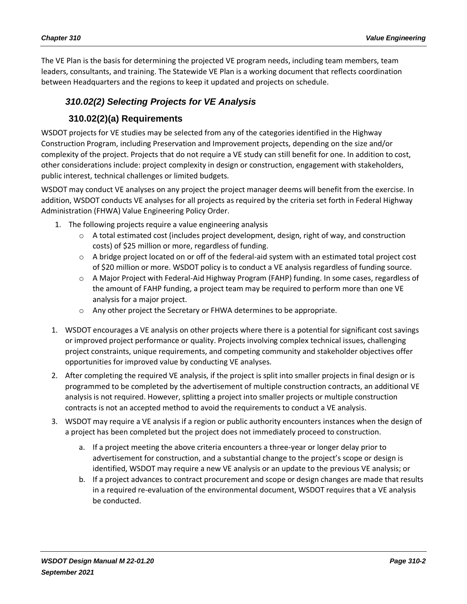The VE Plan is the basis for determining the projected VE program needs, including team members, team leaders, consultants, and training. The Statewide VE Plan is a working document that reflects coordination between Headquarters and the regions to keep it updated and projects on schedule.

# *310.02(2) Selecting Projects for VE Analysis*

#### **310.02(2)(a) Requirements**

WSDOT projects for VE studies may be selected from any of the categories identified in the Highway Construction Program, including Preservation and Improvement projects, depending on the size and/or complexity of the project. Projects that do not require a VE study can still benefit for one. In addition to cost, other considerations include: project complexity in design or construction, engagement with stakeholders, public interest, technical challenges or limited budgets.

WSDOT may conduct VE analyses on any project the project manager deems will benefit from the exercise. In addition, WSDOT conducts VE analyses for all projects as required by the criteria set forth in Federal Highway Administration (FHWA) Value Engineering Policy Order.

- 1. The following projects require a value engineering analysis
	- $\circ$  A total estimated cost (includes project development, design, right of way, and construction costs) of \$25 million or more, regardless of funding.
	- o A bridge project located on or off of the federal-aid system with an estimated total project cost of \$20 million or more. WSDOT policy is to conduct a VE analysis regardless of funding source.
	- o A Major Project with Federal-Aid Highway Program (FAHP) funding. In some cases, regardless of the amount of FAHP funding, a project team may be required to perform more than one VE analysis for a major project.
	- o Any other project the Secretary or FHWA determines to be appropriate.
- 1. WSDOT encourages a VE analysis on other projects where there is a potential for significant cost savings or improved project performance or quality. Projects involving complex technical issues, challenging project constraints, unique requirements, and competing community and stakeholder objectives offer opportunities for improved value by conducting VE analyses.
- 2. After completing the required VE analysis, if the project is split into smaller projects in final design or is programmed to be completed by the advertisement of multiple construction contracts, an additional VE analysis is not required. However, splitting a project into smaller projects or multiple construction contracts is not an accepted method to avoid the requirements to conduct a VE analysis.
- 3. WSDOT may require a VE analysis if a region or public authority encounters instances when the design of a project has been completed but the project does not immediately proceed to construction.
	- a. If a project meeting the above criteria encounters a three-year or longer delay prior to advertisement for construction, and a substantial change to the project's scope or design is identified, WSDOT may require a new VE analysis or an update to the previous VE analysis; or
	- b. If a project advances to contract procurement and scope or design changes are made that results in a required re-evaluation of the environmental document, WSDOT requires that a VE analysis be conducted.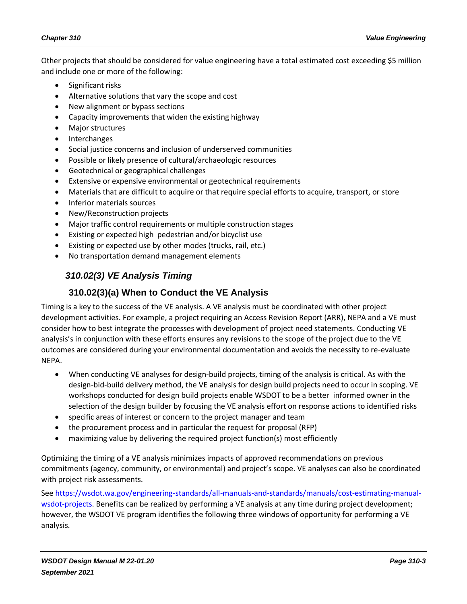Other projects that should be considered for value engineering have a total estimated cost exceeding \$5 million and include one or more of the following:

- Significant risks
- Alternative solutions that vary the scope and cost
- New alignment or bypass sections
- Capacity improvements that widen the existing highway
- Major structures
- Interchanges
- Social justice concerns and inclusion of underserved communities
- Possible or likely presence of cultural/archaeologic resources
- Geotechnical or geographical challenges
- Extensive or expensive environmental or geotechnical requirements
- Materials that are difficult to acquire or that require special efforts to acquire, transport, or store
- Inferior materials sources
- New/Reconstruction projects
- Major traffic control requirements or multiple construction stages
- Existing or expected high pedestrian and/or bicyclist use
- Existing or expected use by other modes (trucks, rail, etc.)
- <span id="page-2-0"></span>• No transportation demand management elements

# *310.02(3) VE Analysis Timing*

## **310.02(3)(a) When to Conduct the VE Analysis**

Timing is a key to the success of the VE analysis. A VE analysis must be coordinated with other project development activities. For example, a project requiring an Access Revision Report (ARR), NEPA and a VE must consider how to best integrate the processes with development of project need statements. Conducting VE analysis's in conjunction with these efforts ensures any revisions to the scope of the project due to the VE outcomes are considered during your environmental documentation and avoids the necessity to re-evaluate NEPA.

- When conducting VE analyses for design-build projects, timing of the analysis is critical. As with the design-bid-build delivery method, the VE analysis for design build projects need to occur in scoping. VE workshops conducted for design build projects enable WSDOT to be a better informed owner in the selection of the design builder by focusing the VE analysis effort on response actions to identified risks
- specific areas of interest or concern to the project manager and team
- the procurement process and in particular the request for proposal (RFP)
- maximizing value by delivering the required project function(s) most efficiently

Optimizing the timing of a VE analysis minimizes impacts of approved recommendations on previous commitments (agency, community, or environmental) and project's scope. VE analyses can also be coordinated with project risk assessments.

Se[e https://wsdot.wa.gov/engineering-standards/all-manuals-and-standards/manuals/cost-estimating-manual](https://wsdot.wa.gov/engineering-standards/all-manuals-and-standards/manuals/cost-estimating-manual-wsdot-projects)[wsdot-projects.](https://wsdot.wa.gov/engineering-standards/all-manuals-and-standards/manuals/cost-estimating-manual-wsdot-projects) Benefits can be realized by performing a VE analysis at any time during project development; however, the WSDOT VE program identifies the following three windows of opportunity for performing a VE analysis.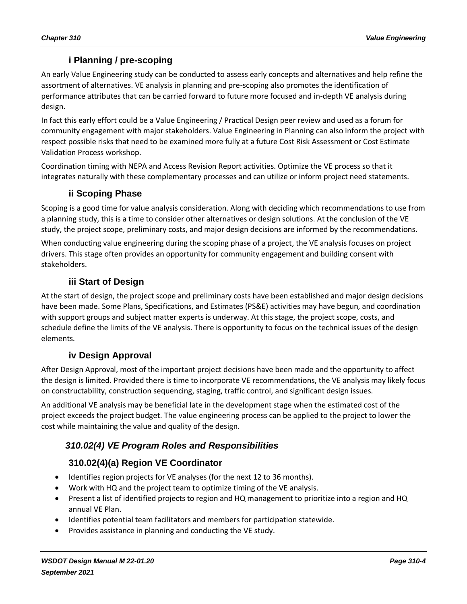# **i Planning / pre-scoping**

An early Value Engineering study can be conducted to assess early concepts and alternatives and help refine the assortment of alternatives. VE analysis in planning and pre-scoping also promotes the identification of performance attributes that can be carried forward to future more focused and in-depth VE analysis during design.

In fact this early effort could be a Value Engineering / Practical Design peer review and used as a forum for community engagement with major stakeholders. Value Engineering in Planning can also inform the project with respect possible risks that need to be examined more fully at a future Cost Risk Assessment or Cost Estimate Validation Process workshop.

Coordination timing with NEPA and Access Revision Report activities. Optimize the VE process so that it integrates naturally with these complementary processes and can utilize or inform project need statements.

#### **ii Scoping Phase**

Scoping is a good time for value analysis consideration. Along with deciding which recommendations to use from a planning study, this is a time to consider other alternatives or design solutions. At the conclusion of the VE study, the project scope, preliminary costs, and major design decisions are informed by the recommendations.

When conducting value engineering during the scoping phase of a project, the VE analysis focuses on project drivers. This stage often provides an opportunity for community engagement and building consent with stakeholders.

#### **iii Start of Design**

At the start of design, the project scope and preliminary costs have been established and major design decisions have been made. Some Plans, Specifications, and Estimates (PS&E) activities may have begun, and coordination with support groups and subject matter experts is underway. At this stage, the project scope, costs, and schedule define the limits of the VE analysis. There is opportunity to focus on the technical issues of the design elements.

#### **iv Design Approval**

After Design Approval, most of the important project decisions have been made and the opportunity to affect the design is limited. Provided there is time to incorporate VE recommendations, the VE analysis may likely focus on constructability, construction sequencing, staging, traffic control, and significant design issues.

An additional VE analysis may be beneficial late in the development stage when the estimated cost of the project exceeds the project budget. The value engineering process can be applied to the project to lower the cost while maintaining the value and quality of the design.

#### *310.02(4) VE Program Roles and Responsibilities*

#### **310.02(4)(a) Region VE Coordinator**

- Identifies region projects for VE analyses (for the next 12 to 36 months).
- Work with HQ and the project team to optimize timing of the VE analysis.
- Present a list of identified projects to region and HQ management to prioritize into a region and HQ annual VE Plan.
- Identifies potential team facilitators and members for participation statewide.
- Provides assistance in planning and conducting the VE study.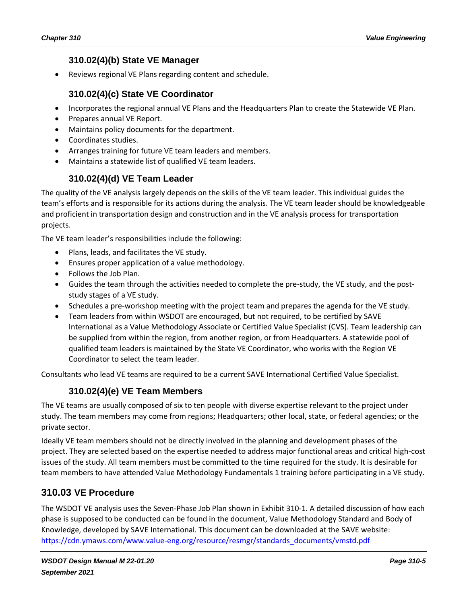#### **310.02(4)(b) State VE Manager**

• Reviews regional VE Plans regarding content and schedule.

#### **310.02(4)(c) State VE Coordinator**

- Incorporates the regional annual VE Plans and the Headquarters Plan to create the Statewide VE Plan.
- Prepares annual VE Report.
- Maintains policy documents for the department.
- Coordinates studies.
- Arranges training for future VE team leaders and members.
- Maintains a statewide list of qualified VE team leaders.

#### **310.02(4)(d) VE Team Leader**

The quality of the VE analysis largely depends on the skills of the VE team leader. This individual guides the team's efforts and is responsible for its actions during the analysis. The VE team leader should be knowledgeable and proficient in transportation design and construction and in the VE analysis process for transportation projects.

The VE team leader's responsibilities include the following:

- Plans, leads, and facilitates the VE study.
- Ensures proper application of a value methodology.
- Follows the Job Plan.
- Guides the team through the activities needed to complete the pre-study, the VE study, and the poststudy stages of a VE study.
- Schedules a pre-workshop meeting with the project team and prepares the agenda for the VE study.
- Team leaders from within WSDOT are encouraged, but not required, to be certified by SAVE International as a Value Methodology Associate or Certified Value Specialist (CVS). Team leadership can be supplied from within the region, from another region, or from Headquarters. A statewide pool of qualified team leaders is maintained by the State VE Coordinator, who works with the Region VE Coordinator to select the team leader.

Consultants who lead VE teams are required to be a current SAVE International Certified Value Specialist.

#### **310.02(4)(e) VE Team Members**

The VE teams are usually composed of six to ten people with diverse expertise relevant to the project under study. The team members may come from regions; Headquarters; other local, state, or federal agencies; or the private sector.

Ideally VE team members should not be directly involved in the planning and development phases of the project. They are selected based on the expertise needed to address major functional areas and critical high-cost issues of the study. All team members must be committed to the time required for the study. It is desirable for team members to have attended Value Methodology Fundamentals 1 training before participating in a VE study.

#### <span id="page-4-0"></span>**310.03 VE Procedure**

The WSDOT VE analysis uses the Seven-Phase Job Plan shown in [Exhibit 310-1.](#page-6-0) A detailed discussion of how each phase is supposed to be conducted can be found in the document, Value Methodology Standard and Body of Knowledge, developed by SAVE International. This document can be downloaded at the SAVE website: [https://cdn.ymaws.com/www.value-eng.org/resource/resmgr/standards\\_documents/vmstd.pdf](https://cdn.ymaws.com/www.value-eng.org/resource/resmgr/standards_documents/vmstd.pdf)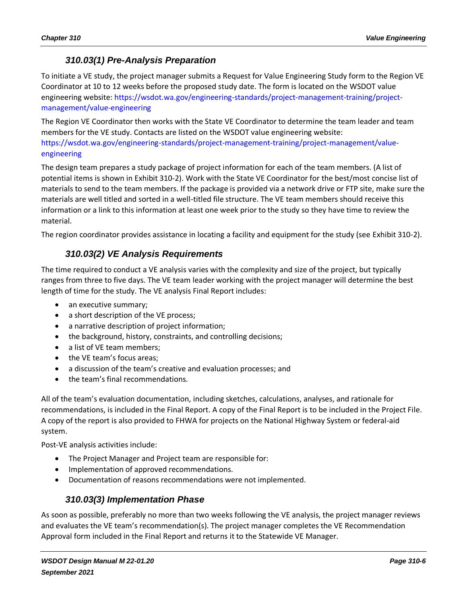### *310.03(1) Pre-Analysis Preparation*

To initiate a VE study, the project manager submits a Request for Value Engineering Study form to the Region VE Coordinator at 10 to 12 weeks before the proposed study date. The form is located on the WSDOT value engineering website: [https://wsdot.wa.gov/engineering-standards/project-management-training/project](https://wsdot.wa.gov/engineering-standards/project-management-training/project-management/value-engineering)[management/value-engineering](https://wsdot.wa.gov/engineering-standards/project-management-training/project-management/value-engineering)

The Region VE Coordinator then works with the State VE Coordinator to determine the team leader and team members for the VE study. Contacts are listed on the WSDOT value engineering website: [https://wsdot.wa.gov/engineering-standards/project-management-training/project-management/value](https://wsdot.wa.gov/engineering-standards/project-management-training/project-management/value-engineering)[engineering](https://wsdot.wa.gov/engineering-standards/project-management-training/project-management/value-engineering)

The design team prepares a study package of project information for each of the team members. (A list of potential items is shown in [Exhibit 310-2\)](#page-7-1). Work with the State VE Coordinator for the best/most concise list of materials to send to the team members. If the package is provided via a network drive or FTP site, make sure the materials are well titled and sorted in a well-titled file structure. The VE team members should receive this information or a link to this information at least one week prior to the study so they have time to review the material.

The region coordinator provides assistance in locating a facility and equipment for the study (see [Exhibit 310-2\)](#page-7-1).

# *310.03(2) VE Analysis Requirements*

The time required to conduct a VE analysis varies with the complexity and size of the project, but typically ranges from three to five days. The VE team leader working with the project manager will determine the best length of time for the study. The VE analysis Final Report includes:

- an executive summary;
- a short description of the VE process;
- a narrative description of project information;
- the background, history, constraints, and controlling decisions;
- a list of VE team members;
- the VE team's focus areas;
- a discussion of the team's creative and evaluation processes; and
- the team's final recommendations.

All of the team's evaluation documentation, including sketches, calculations, analyses, and rationale for recommendations, is included in the Final Report. A copy of the Final Report is to be included in the Project File. A copy of the report is also provided to FHWA for projects on the National Highway System or federal-aid system.

Post-VE analysis activities include:

- The Project Manager and Project team are responsible for:
- Implementation of approved recommendations.
- Documentation of reasons recommendations were not implemented.

#### *310.03(3) Implementation Phase*

As soon as possible, preferably no more than two weeks following the VE analysis, the project manager reviews and evaluates the VE team's recommendation(s). The project manager completes the VE Recommendation Approval form included in the Final Report and returns it to the Statewide VE Manager.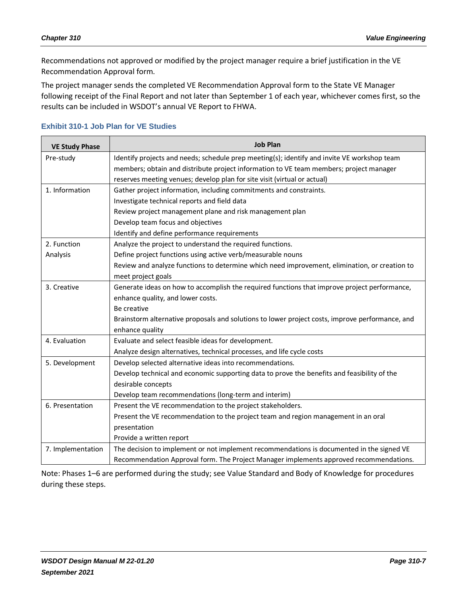Recommendations not approved or modified by the project manager require a brief justification in the VE Recommendation Approval form.

The project manager sends the completed VE Recommendation Approval form to the State VE Manager following receipt of the Final Report and not later than September 1 of each year, whichever comes first, so the results can be included in WSDOT's annual VE Report to FHWA.

| <b>VE Study Phase</b> | <b>Job Plan</b>                                                                                 |  |
|-----------------------|-------------------------------------------------------------------------------------------------|--|
| Pre-study             | Identify projects and needs; schedule prep meeting(s); identify and invite VE workshop team     |  |
|                       | members; obtain and distribute project information to VE team members; project manager          |  |
|                       | reserves meeting venues; develop plan for site visit (virtual or actual)                        |  |
| 1. Information        | Gather project information, including commitments and constraints.                              |  |
|                       | Investigate technical reports and field data                                                    |  |
|                       | Review project management plane and risk management plan                                        |  |
|                       | Develop team focus and objectives                                                               |  |
|                       | Identify and define performance requirements                                                    |  |
| 2. Function           | Analyze the project to understand the required functions.                                       |  |
| Analysis              | Define project functions using active verb/measurable nouns                                     |  |
|                       | Review and analyze functions to determine which need improvement, elimination, or creation to   |  |
|                       | meet project goals                                                                              |  |
| 3. Creative           | Generate ideas on how to accomplish the required functions that improve project performance,    |  |
|                       | enhance quality, and lower costs.                                                               |  |
|                       | Be creative                                                                                     |  |
|                       | Brainstorm alternative proposals and solutions to lower project costs, improve performance, and |  |
|                       | enhance quality                                                                                 |  |
| 4. Evaluation         | Evaluate and select feasible ideas for development.                                             |  |
|                       | Analyze design alternatives, technical processes, and life cycle costs                          |  |
| 5. Development        | Develop selected alternative ideas into recommendations.                                        |  |
|                       | Develop technical and economic supporting data to prove the benefits and feasibility of the     |  |
|                       | desirable concepts                                                                              |  |
|                       | Develop team recommendations (long-term and interim)                                            |  |
| 6. Presentation       | Present the VE recommendation to the project stakeholders.                                      |  |
|                       | Present the VE recommendation to the project team and region management in an oral              |  |
|                       | presentation                                                                                    |  |
|                       | Provide a written report                                                                        |  |
| 7. Implementation     | The decision to implement or not implement recommendations is documented in the signed VE       |  |
|                       | Recommendation Approval form. The Project Manager implements approved recommendations.          |  |

#### <span id="page-6-0"></span>**Exhibit 310-1 Job Plan for VE Studies**

Note: Phases 1–6 are performed during the study; see Value Standard and Body of Knowledge for procedures during these steps.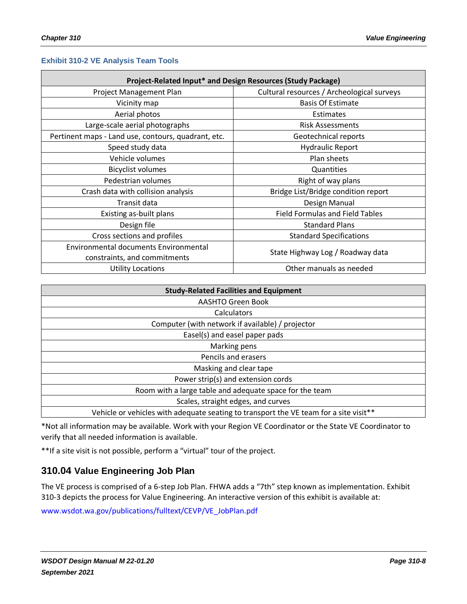#### <span id="page-7-1"></span>**Exhibit 310-2 VE Analysis Team Tools**

| Project-Related Input* and Design Resources (Study Package) |                                            |  |  |
|-------------------------------------------------------------|--------------------------------------------|--|--|
| Project Management Plan                                     | Cultural resources / Archeological surveys |  |  |
| Vicinity map                                                | <b>Basis Of Estimate</b>                   |  |  |
| Aerial photos                                               | Estimates                                  |  |  |
| Large-scale aerial photographs                              | <b>Risk Assessments</b>                    |  |  |
| Pertinent maps - Land use, contours, quadrant, etc.         | Geotechnical reports                       |  |  |
| Speed study data                                            | <b>Hydraulic Report</b>                    |  |  |
| Vehicle volumes                                             | Plan sheets                                |  |  |
| <b>Bicyclist volumes</b>                                    | Quantities                                 |  |  |
| Pedestrian volumes                                          | Right of way plans                         |  |  |
| Crash data with collision analysis                          | Bridge List/Bridge condition report        |  |  |
| Transit data                                                | Design Manual                              |  |  |
| Existing as-built plans                                     | <b>Field Formulas and Field Tables</b>     |  |  |
| Design file                                                 | <b>Standard Plans</b>                      |  |  |
| Cross sections and profiles                                 | <b>Standard Specifications</b>             |  |  |
| <b>Environmental documents Environmental</b>                |                                            |  |  |
| constraints, and commitments                                | State Highway Log / Roadway data           |  |  |
| <b>Utility Locations</b>                                    | Other manuals as needed                    |  |  |

| <b>Study-Related Facilities and Equipment</b>                                         |  |  |
|---------------------------------------------------------------------------------------|--|--|
| <b>AASHTO Green Book</b>                                                              |  |  |
| Calculators                                                                           |  |  |
| Computer (with network if available) / projector                                      |  |  |
| Easel(s) and easel paper pads                                                         |  |  |
| Marking pens                                                                          |  |  |
| Pencils and erasers                                                                   |  |  |
| Masking and clear tape                                                                |  |  |
| Power strip(s) and extension cords                                                    |  |  |
| Room with a large table and adequate space for the team                               |  |  |
| Scales, straight edges, and curves                                                    |  |  |
| Vehicle or vehicles with adequate seating to transport the VE team for a site visit** |  |  |

\*Not all information may be available. Work with your Region VE Coordinator or the State VE Coordinator to verify that all needed information is available.

\*\*If a site visit is not possible, perform a "virtual" tour of the project.

#### <span id="page-7-0"></span>**310.04 Value Engineering Job Plan**

The VE process is comprised of a 6-step Job Plan. FHWA adds a "7th" step known as implementation. [Exhibit](#page-8-2)  [310-3](#page-8-2) depicts the process for Value Engineering. An interactive version of this exhibit is available at:

[www.wsdot.wa.gov/publications/fulltext/CEVP/VE\\_JobPlan.pdf](http://www.wsdot.wa.gov/publications/fulltext/CEVP/VE_JobPlan.pdf)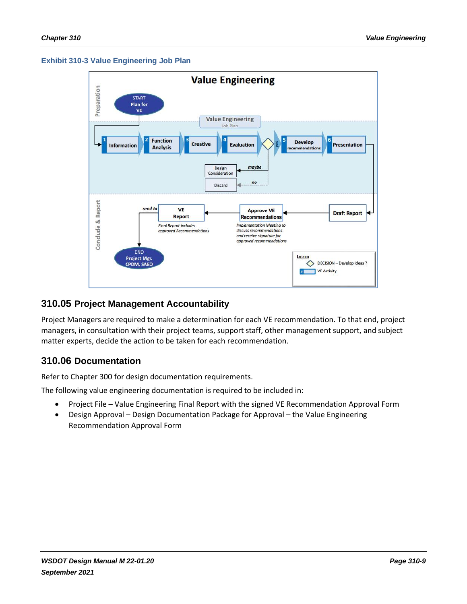#### <span id="page-8-2"></span>**Exhibit 310-3 Value Engineering Job Plan**



#### <span id="page-8-0"></span>**310.05 Project Management Accountability**

Project Managers are required to make a determination for each VE recommendation. To that end, project managers, in consultation with their project teams, support staff, other management support, and subject matter experts, decide the action to be taken for each recommendation.

#### <span id="page-8-1"></span>**310.06 Documentation**

Refer to Chapter 300 for design documentation requirements.

The following value engineering documentation is required to be included in:

- Project File Value Engineering Final Report with the signed VE Recommendation Approval Form
- Design Approval Design Documentation Package for Approval the Value Engineering Recommendation Approval Form